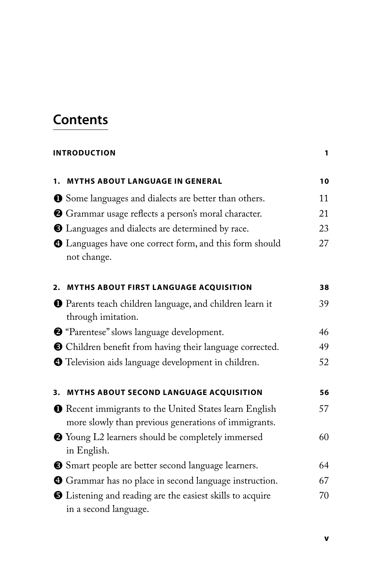## **Contents**

## **INTRODUCTION** 1

|    | 1. MYTHS ABOUT LANGUAGE IN GENERAL                                                                                    | 10 |
|----|-----------------------------------------------------------------------------------------------------------------------|----|
|    | <b>O</b> Some languages and dialects are better than others.                                                          | 11 |
|    | <sup>2</sup> Grammar usage reflects a person's moral character.                                                       | 21 |
|    | <b>3</b> Languages and dialects are determined by race.                                                               | 23 |
|    | 4 Languages have one correct form, and this form should<br>not change.                                                | 27 |
| 2. | <b>MYTHS ABOUT FIRST LANGUAGE ACQUISITION</b>                                                                         | 38 |
|    | <b>O</b> Parents teach children language, and children learn it<br>through imitation.                                 | 39 |
|    | <sup>9</sup> "Parentese" slows language development.                                                                  | 46 |
|    | <b>O</b> Children benefit from having their language corrected.                                                       | 49 |
|    | <b>O</b> Television aids language development in children.                                                            | 52 |
| 3. | MYTHS ABOUT SECOND LANGUAGE ACQUISITION                                                                               | 56 |
|    | <b>O</b> Recent immigrants to the United States learn English<br>more slowly than previous generations of immigrants. | 57 |
|    | <sup>2</sup> Young L2 learners should be completely immersed<br>in English.                                           | 60 |
|    | Simart people are better second language learners.                                                                    | 64 |
|    | <b>O</b> Grammar has no place in second language instruction.                                                         | 67 |
|    | <b>O</b> Listening and reading are the easiest skills to acquire<br>in a second language.                             | 70 |